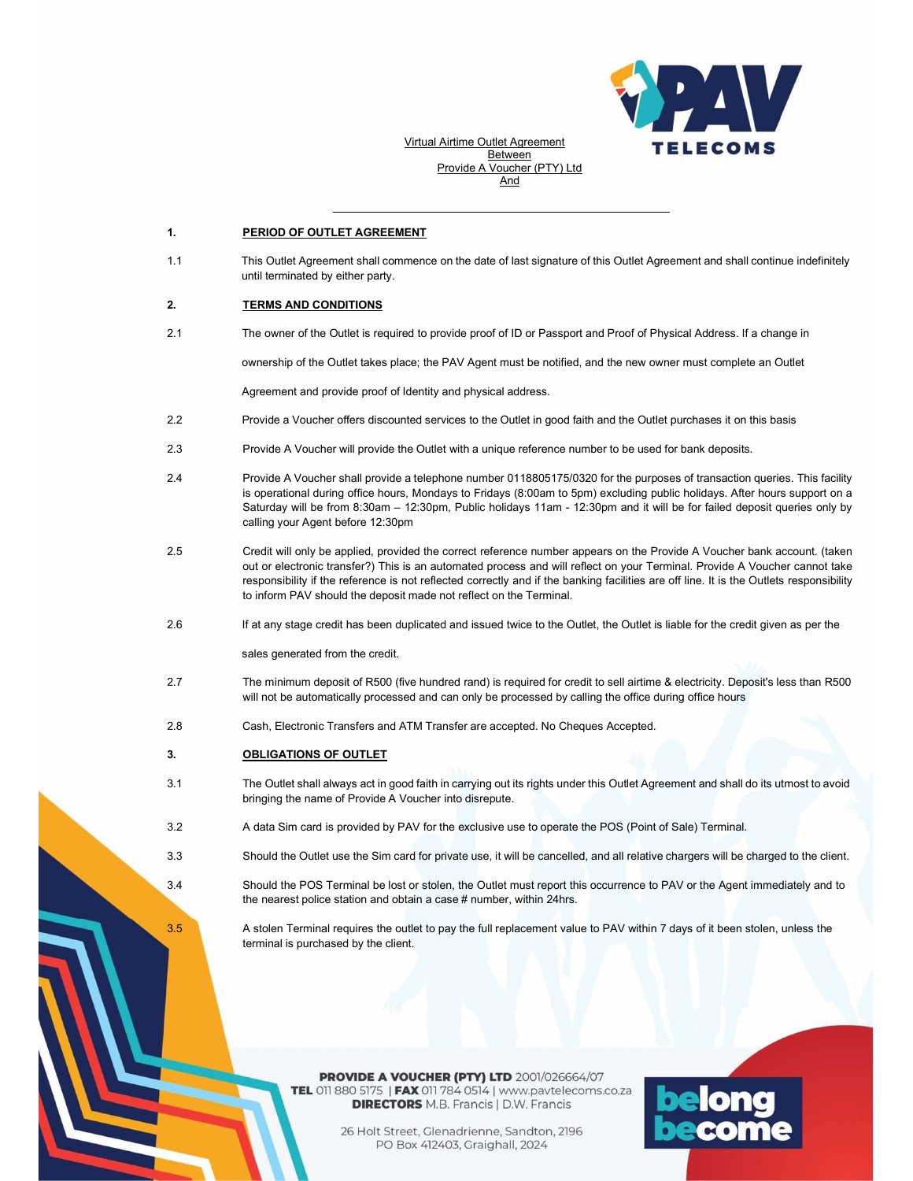

Virtual Airtime Outlet Agreement Between Provide A Voucher (PTY) Ltd And

### 1. PERIOD OF OUTLET AGREEMENT

1.1 This Outlet Agreement shall commence on the date of last signature of this Outlet Agreement and shall continue indefinitely until terminated by either party.

### 2. TERMS AND CONDITIONS

2.1 The owner of the Outlet is required to provide proof of ID or Passport and Proof of Physical Address. If a change in

ownership of the Outlet takes place; the PAV Agent must be notified, and the new owner must complete an Outlet

Agreement and provide proof of Identity and physical address.

- 2.2 Provide a Voucher offers discounted services to the Outlet in good faith and the Outlet purchases it on this basis
- 2.3 Provide A Voucher will provide the Outlet with a unique reference number to be used for bank deposits.
- 2.4 Provide A Voucher shall provide a telephone number 0118805175/0320 for the purposes of transaction queries. This facility is operational during office hours, Mondays to Fridays (8:00am to 5pm) excluding public holidays. After hours support on a Saturday will be from 8:30am – 12:30pm, Public holidays 11am - 12:30pm and it will be for failed deposit queries only by calling your Agent before 12:30pm
- 2.5 Credit will only be applied, provided the correct reference number appears on the Provide A Voucher bank account. (taken out or electronic transfer?) This is an automated process and will reflect on your Terminal. Provide A Voucher cannot take responsibility if the reference is not reflected correctly and if the banking facilities are off line. It is the Outlets responsibility to inform PAV should the deposit made not reflect on the Terminal.
- 2.6 If at any stage credit has been duplicated and issued twice to the Outlet, the Outlet is liable for the credit given as per the

sales generated from the credit.

- 2.7 The minimum deposit of R500 (five hundred rand) is required for credit to sell airtime & electricity. Deposit's less than R500 will not be automatically processed and can only be processed by calling the office during office hours
- 2.8 Cash, Electronic Transfers and ATM Transfer are accepted. No Cheques Accepted.

#### 3. OBLIGATIONS OF OUTLET

- 3.1 The Outlet shall always act in good faith in carrying out its rights under this Outlet Agreement and shall do its utmost to avoid bringing the name of Provide A Voucher into disrepute.
- 3.2 A data Sim card is provided by PAV for the exclusive use to operate the POS (Point of Sale) Terminal.
- 3.3 Should the Outlet use the Sim card for private use, it will be cancelled, and all relative chargers will be charged to the client.

3.4 Should the POS Terminal be lost or stolen, the Outlet must report this occurrence to PAV or the Agent immediately and to the nearest police station and obtain a case # number, within 24hrs.

3.5 A stolen Terminal requires the outlet to pay the full replacement value to PAV within 7 days of it been stolen, unless the terminal is purchased by the client.

> **PROVIDE A VOUCHER (PTY) LTD 2001/026664/07** TEL 011 880 5175 | FAX 011 784 0514 | www.pavtelecoms.co.za **DIRECTORS** M.B. Francis | D.W. Francis

> > 26 Holt Street, Glenadrienne, Sandton, 2196 PO Box 412403, Graighall, 2024

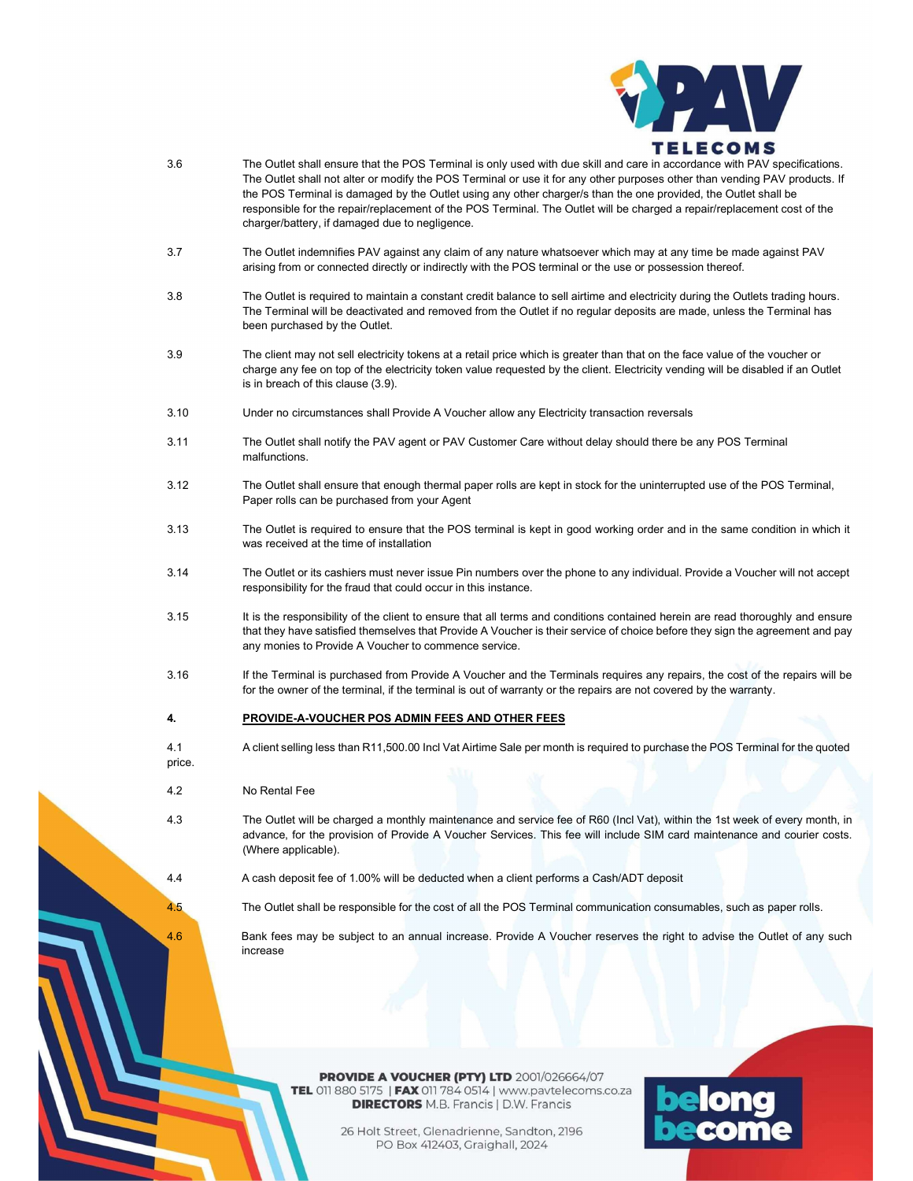

- 3.6 The Outlet shall ensure that the POS Terminal is only used with due skill and care in accordance with PAV specifications. The Outlet shall not alter or modify the POS Terminal or use it for any other purposes other than vending PAV products. If the POS Terminal is damaged by the Outlet using any other charger/s than the one provided, the Outlet shall be responsible for the repair/replacement of the POS Terminal. The Outlet will be charged a repair/replacement cost of the charger/battery, if damaged due to negligence.
- 3.7 The Outlet indemnifies PAV against any claim of any nature whatsoever which may at any time be made against PAV arising from or connected directly or indirectly with the POS terminal or the use or possession thereof.
- 3.8 The Outlet is required to maintain a constant credit balance to sell airtime and electricity during the Outlets trading hours. The Terminal will be deactivated and removed from the Outlet if no regular deposits are made, unless the Terminal has been purchased by the Outlet.
- 3.9 The client may not sell electricity tokens at a retail price which is greater than that on the face value of the voucher or charge any fee on top of the electricity token value requested by the client. Electricity vending will be disabled if an Outlet is in breach of this clause (3.9).
- 3.10 Under no circumstances shall Provide A Voucher allow any Electricity transaction reversals
- 3.11 The Outlet shall notify the PAV agent or PAV Customer Care without delay should there be any POS Terminal malfunctions.
- 3.12 The Outlet shall ensure that enough thermal paper rolls are kept in stock for the uninterrupted use of the POS Terminal, Paper rolls can be purchased from your Agent
- 3.13 The Outlet is required to ensure that the POS terminal is kept in good working order and in the same condition in which it was received at the time of installation
- 3.14 The Outlet or its cashiers must never issue Pin numbers over the phone to any individual. Provide a Voucher will not accept responsibility for the fraud that could occur in this instance.
- 3.15 It is the responsibility of the client to ensure that all terms and conditions contained herein are read thoroughly and ensure that they have satisfied themselves that Provide A Voucher is their service of choice before they sign the agreement and pay any monies to Provide A Voucher to commence service.
- 3.16 If the Terminal is purchased from Provide A Voucher and the Terminals requires any repairs, the cost of the repairs will be for the owner of the terminal, if the terminal is out of warranty or the repairs are not covered by the warranty.

#### 4. PROVIDE-A-VOUCHER POS ADMIN FEES AND OTHER FEES

4.1 A client selling less than R11,500.00 Incl Vat Airtime Sale per month is required to purchase the POS Terminal for the quoted

## 4.2 No Rental Fee

price.

- 4.3 The Outlet will be charged a monthly maintenance and service fee of R60 (Incl Vat), within the 1st week of every month, in advance, for the provision of Provide A Voucher Services. This fee will include SIM card maintenance and courier costs. (Where applicable).
- 4.4 A cash deposit fee of 1.00% will be deducted when a client performs a Cash/ADT deposit

4.5 The Outlet shall be responsible for the cost of all the POS Terminal communication consumables, such as paper rolls.

4.6 Bank fees may be subject to an annual increase. Provide A Voucher reserves the right to advise the Outlet of any such increase

> **PROVIDE A VOUCHER (PTY) LTD 2001/026664/07** TEL 011 880 5175 | FAX 011 784 0514 | www.pavtelecoms.co.za **DIRECTORS** M.B. Francis | D.W. Francis

> > 26 Holt Street, Glenadrienne, Sandton, 2196 PO Box 412403, Graighall, 2024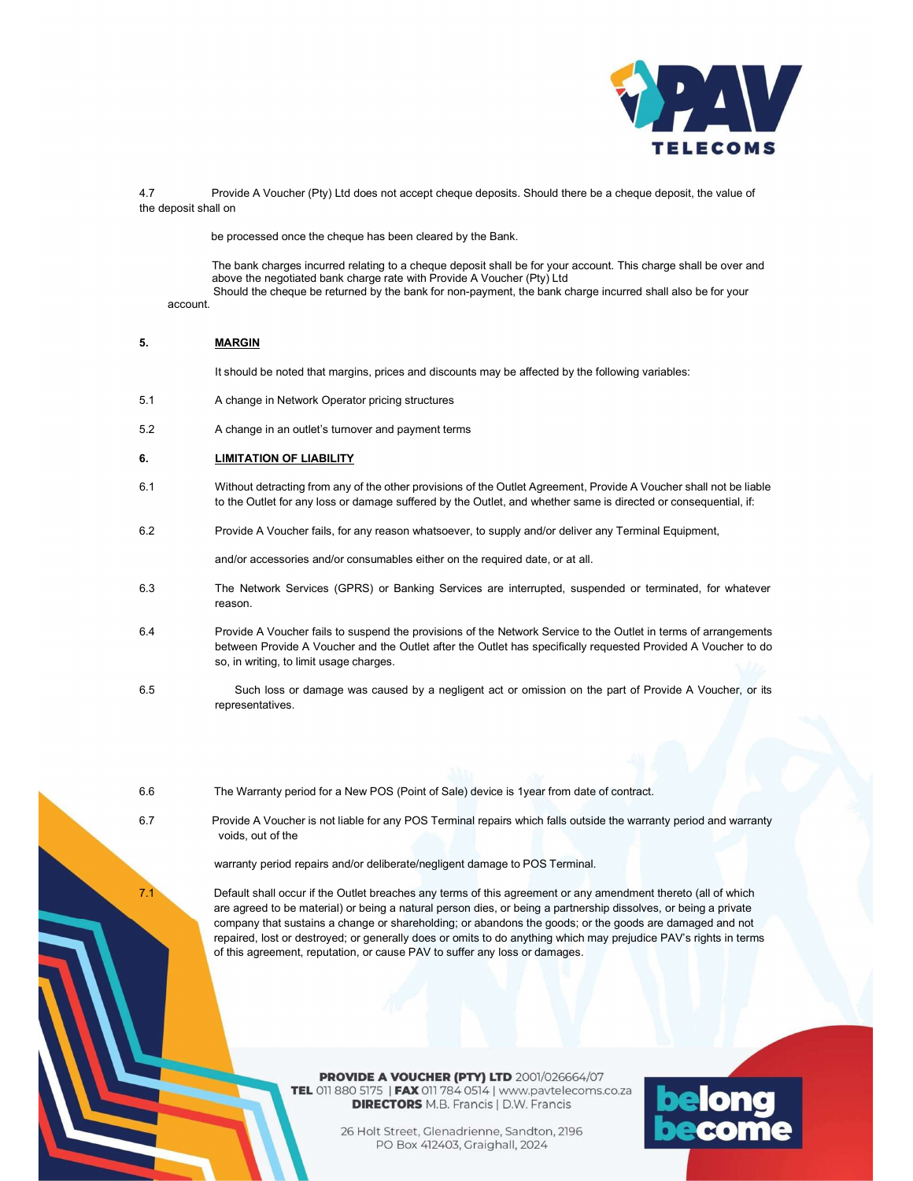

4.7 Provide A Voucher (Pty) Ltd does not accept cheque deposits. Should there be a cheque deposit, the value of the deposit shall on

be processed once the cheque has been cleared by the Bank.

account. The bank charges incurred relating to a cheque deposit shall be for your account. This charge shall be over and above the negotiated bank charge rate with Provide A Voucher (Pty) Ltd Should the cheque be returned by the bank for non-payment, the bank charge incurred shall also be for your

### 5. MARGIN

It should be noted that margins, prices and discounts may be affected by the following variables:

- 5.1 A change in Network Operator pricing structures
- 5.2 A change in an outlet's turnover and payment terms

# 6. LIMITATION OF LIABILITY

- 6.1 Without detracting from any of the other provisions of the Outlet Agreement, Provide A Voucher shall not be liable to the Outlet for any loss or damage suffered by the Outlet, and whether same is directed or consequential, if:
- 6.2 Provide A Voucher fails, for any reason whatsoever, to supply and/or deliver any Terminal Equipment,

and/or accessories and/or consumables either on the required date, or at all.

- 6.3 The Network Services (GPRS) or Banking Services are interrupted, suspended or terminated, for whatever reason.
- 6.4 Provide A Voucher fails to suspend the provisions of the Network Service to the Outlet in terms of arrangements between Provide A Voucher and the Outlet after the Outlet has specifically requested Provided A Voucher to do so, in writing, to limit usage charges.
- 6.5 Such loss or damage was caused by a negligent act or omission on the part of Provide A Voucher, or its representatives.
- 

6.6 The Warranty period for a New POS (Point of Sale) device is 1year from date of contract.

6.7 Provide A Voucher is not liable for any POS Terminal repairs which falls outside the warranty period and warranty voids, out of the

warranty period repairs and/or deliberate/negligent damage to POS Terminal.

7.1 Default shall occur if the Outlet breaches any terms of this agreement or any amendment thereto (all of which are agreed to be material) or being a natural person dies, or being a partnership dissolves, or being a private company that sustains a change or shareholding; or abandons the goods; or the goods are damaged and not repaired, lost or destroyed; or generally does or omits to do anything which may prejudice PAV's rights in terms of this agreement, reputation, or cause PAV to suffer any loss or damages.

> **PROVIDE A VOUCHER (PTY) LTD 2001/026664/07** TEL 011 880 5175 | FAX 011 784 0514 | www.pavtelecoms.co.za **DIRECTORS** M.B. Francis | D.W. Francis

> > 26 Holt Street, Glenadrienne, Sandton, 2196 PO Box 412403, Graighall, 2024